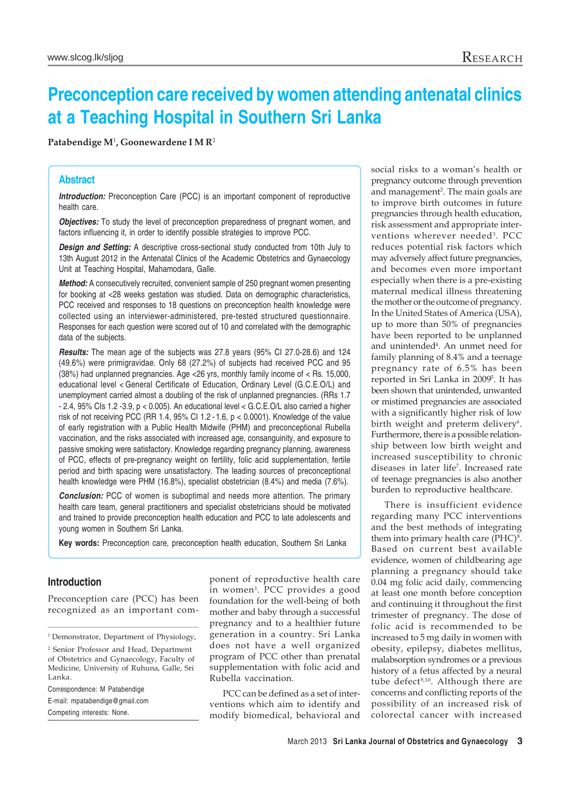# **Preconception care received by women attending antenatal clinics at a Teaching Hospital in Southern Sri Lanka**

**Patabendige M**<sup>1</sup> **, Goonewardene I M R**<sup>2</sup>

## **Abstract**

**Introduction:** Preconception Care (PCC) is an important component of reproductive health care.

*Objectives:* To study the level of preconception preparedness of pregnant women, and factors influencing it, in order to identify possible strategies to improve PCC.

**Design and Setting:** A descriptive cross-sectional study conducted from 10th July to 13th August 2012 in the Antenatal Clinics of the Academic Obstetrics and Gynaecology Unit at Teaching Hospital, Mahamodara, Galle.

*Method:* A consecutively recruited, convenient sample of 250 pregnant women presenting for booking at <28 weeks gestation was studied. Data on demographic characteristics, PCC received and responses to 18 questions on preconception health knowledge were collected using an interviewer-administered, pre-tested structured questionnaire. Responses for each question were scored out of 10 and correlated with the demographic data of the subjects.

*Results:* The mean age of the subjects was 27.8 years (95% CI 27.0-28.6) and 124 (49.6%) were primigravidae. Only 68 (27.2%) of subjects had received PCC and 95 (38%) had unplanned pregnancies. Age <26 yrs, monthly family income of < Rs. 15,000, educational level < General Certificate of Education, Ordinary Level (G.C.E.O/L) and unemployment carried almost a doubling of the risk of unplanned pregnancies. (RRs 1.7 - 2.4, 95% CIs 1.2 -3.9, p < 0.005). An educational level < G.C.E.O/L also carried a higher risk of not receiving PCC (RR 1.4, 95% CI 1.2 -1.6, p < 0.0001). Knowledge of the value of early registration with a Public Health Midwife (PHM) and preconceptional Rubella vaccination, and the risks associated with increased age, consanguinity, and exposure to passive smoking were satisfactory. Knowledge regarding pregnancy planning, awareness of PCC, effects of pre-pregnancy weight on fertility, folic acid supplementation, fertile period and birth spacing were unsatisfactory. The leading sources of preconceptional health knowledge were PHM (16.8%), specialist obstetrician (8.4%) and media (7.6%).

**Conclusion:** PCC of women is suboptimal and needs more attention. The primary health care team, general practitioners and specialist obstetricians should be motivated and trained to provide preconception health education and PCC to late adolescents and young women in Southern Sri Lanka.

**Key words:** Preconception care, preconception health education, Southern Sri Lanka

## **Introduction**

Preconception care (PCC) has been recognized as an important com-

Correspondence: M Patabendige

E-mail: mpatabendige@gmail.com Competing interests: None.

ponent of reproductive health care in women1 . PCC provides a good foundation for the well-being of both mother and baby through a successful pregnancy and to a healthier future generation in a country. Sri Lanka does not have a well organized program of PCC other than prenatal supplementation with folic acid and Rubella vaccination.

PCC can be defined as a set of interventions which aim to identify and modify biomedical, behavioral and social risks to a woman's health or pregnancy outcome through prevention and management<sup>2</sup>. The main goals are to improve birth outcomes in future pregnancies through health education, risk assessment and appropriate interventions wherever needed<sup>3</sup>. PCC reduces potential risk factors which may adversely affect future pregnancies, and becomes even more important especially when there is a pre-existing maternal medical illness threatening the mother or the outcome of pregnancy. In the United States of America (USA), up to more than 50% of pregnancies have been reported to be unplanned and unintended4 . An unmet need for family planning of 8.4% and a teenage pregnancy rate of 6.5% has been reported in Sri Lanka in 2009<sup>5</sup>. It has been shown that unintended, unwanted or mistimed pregnancies are associated with a significantly higher risk of low birth weight and preterm delivery<sup>6</sup>. Furthermore, there is a possible relationship between low birth weight and increased susceptibility to chronic diseases in later life7 . Increased rate of teenage pregnancies is also another burden to reproductive healthcare.

There is insufficient evidence regarding many PCC interventions and the best methods of integrating them into primary health care  $(PHC)^8$ . Based on current best available evidence, women of childbearing age planning a pregnancy should take 0.04 mg folic acid daily, commencing at least one month before conception and continuing it throughout the first trimester of pregnancy. The dose of folic acid is recommended to be increased to 5 mg daily in women with obesity, epilepsy, diabetes mellitus, malabsorption syndromes or a previous history of a fetus affected by a neural tube defect<sup>9,10</sup>. Although there are concerns and conflicting reports of the possibility of an increased risk of colorectal cancer with increased

<sup>&</sup>lt;sup>1</sup> Demonstrator, Department of Physiology,

<sup>2</sup> Senior Professor and Head, Department of Obstetrics and Gynaecology, Faculty of Medicine, University of Ruhuna, Galle, Sri Lanka.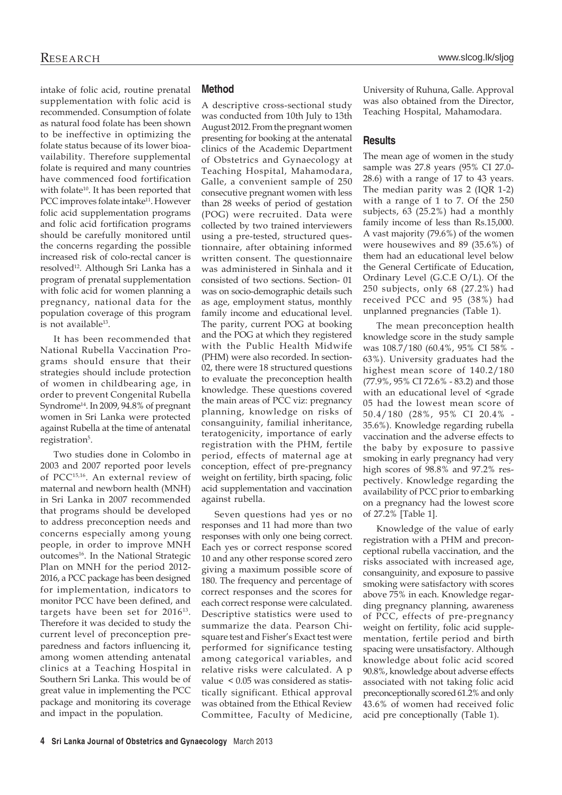intake of folic acid, routine prenatal supplementation with folic acid is recommended. Consumption of folate as natural food folate has been shown to be ineffective in optimizing the folate status because of its lower bioavailability. Therefore supplemental folate is required and many countries have commenced food fortification with folate<sup>10</sup>. It has been reported that PCC improves folate intake<sup>11</sup>. However folic acid supplementation programs and folic acid fortification programs should be carefully monitored until the concerns regarding the possible increased risk of colo-rectal cancer is resolved<sup>12</sup>. Although Sri Lanka has a program of prenatal supplementation with folic acid for women planning a pregnancy, national data for the population coverage of this program is not available<sup>13</sup>.

It has been recommended that National Rubella Vaccination Programs should ensure that their strategies should include protection of women in childbearing age, in order to prevent Congenital Rubella Syndrome<sup>14</sup>. In 2009, 94.8% of pregnant women in Sri Lanka were protected against Rubella at the time of antenatal registration<sup>5</sup>.

Two studies done in Colombo in 2003 and 2007 reported poor levels of PCC15,16. An external review of maternal and newborn health (MNH) in Sri Lanka in 2007 recommended that programs should be developed to address preconception needs and concerns especially among young people, in order to improve MNH outcomes<sup>16</sup>. In the National Strategic Plan on MNH for the period 2012- 2016, a PCC package has been designed for implementation, indicators to monitor PCC have been defined, and targets have been set for 201613. Therefore it was decided to study the current level of preconception preparedness and factors influencing it, among women attending antenatal clinics at a Teaching Hospital in Southern Sri Lanka. This would be of great value in implementing the PCC package and monitoring its coverage and impact in the population.

# **Method**

A descriptive cross-sectional study was conducted from 10th July to 13th August 2012. From the pregnant women presenting for booking at the antenatal clinics of the Academic Department of Obstetrics and Gynaecology at Teaching Hospital, Mahamodara, Galle, a convenient sample of 250 consecutive pregnant women with less than 28 weeks of period of gestation (POG) were recruited. Data were collected by two trained interviewers using a pre-tested, structured questionnaire, after obtaining informed written consent. The questionnaire was administered in Sinhala and it consisted of two sections. Section- 01 was on socio-demographic details such as age, employment status, monthly family income and educational level. The parity, current POG at booking and the POG at which they registered with the Public Health Midwife (PHM) were also recorded. In section-02, there were 18 structured questions to evaluate the preconception health knowledge. These questions covered the main areas of PCC viz: pregnancy planning, knowledge on risks of consanguinity, familial inheritance, teratogenicity, importance of early registration with the PHM, fertile period, effects of maternal age at conception, effect of pre-pregnancy weight on fertility, birth spacing, folic acid supplementation and vaccination against rubella.

Seven questions had yes or no responses and 11 had more than two responses with only one being correct. Each yes or correct response scored 10 and any other response scored zero giving a maximum possible score of 180. The frequency and percentage of correct responses and the scores for each correct response were calculated. Descriptive statistics were used to summarize the data. Pearson Chisquare test and Fisher's Exact test were performed for significance testing among categorical variables, and relative risks were calculated. A p value < 0.05 was considered as statistically significant. Ethical approval was obtained from the Ethical Review Committee, Faculty of Medicine, University of Ruhuna, Galle. Approval was also obtained from the Director, Teaching Hospital, Mahamodara.

## **Results**

The mean age of women in the study sample was 27.8 years (95% CI 27.0- 28.6) with a range of 17 to 43 years. The median parity was 2 (IQR 1-2) with a range of 1 to 7. Of the 250 subjects, 63 (25.2%) had a monthly family income of less than Rs.15,000. A vast majority (79.6%) of the women were housewives and 89 (35.6%) of them had an educational level below the General Certificate of Education, Ordinary Level (G.C.E O/L). Of the 250 subjects, only 68 (27.2%) had received PCC and 95 (38%) had unplanned pregnancies (Table 1).

The mean preconception health knowledge score in the study sample was 108.7/180 (60.4%, 95% CI 58% - 63%). University graduates had the highest mean score of 140.2/180 (77.9%, 95% CI 72.6% - 83.2) and those with an educational level of <grade 05 had the lowest mean score of 50.4/180 (28%, 95% CI 20.4% - 35.6%). Knowledge regarding rubella vaccination and the adverse effects to the baby by exposure to passive smoking in early pregnancy had very high scores of 98.8% and 97.2% respectively. Knowledge regarding the availability of PCC prior to embarking on a pregnancy had the lowest score of 27.2% [Table 1].

Knowledge of the value of early registration with a PHM and preconceptional rubella vaccination, and the risks associated with increased age, consanguinity, and exposure to passive smoking were satisfactory with scores above 75% in each. Knowledge regarding pregnancy planning, awareness of PCC, effects of pre-pregnancy weight on fertility, folic acid supplementation, fertile period and birth spacing were unsatisfactory. Although knowledge about folic acid scored 90.8%, knowledge about adverse effects associated with not taking folic acid preconceptionally scored 61.2% and only 43.6% of women had received folic acid pre conceptionally (Table 1).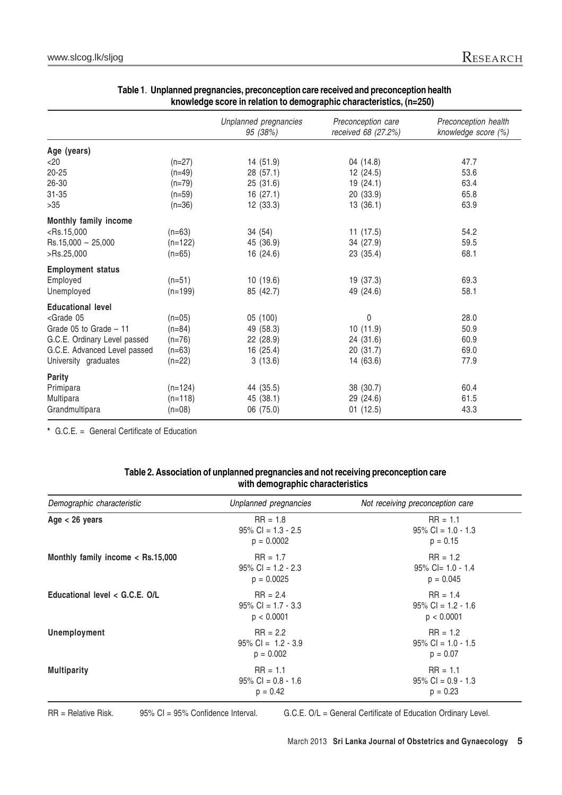|                                                                                                  |           | Unplanned pregnancies<br>95 (38%) | Preconception care<br>received 68 (27.2%) | Preconception health<br>knowledge score (%) |
|--------------------------------------------------------------------------------------------------|-----------|-----------------------------------|-------------------------------------------|---------------------------------------------|
| Age (years)                                                                                      |           |                                   |                                           |                                             |
| $<$ 20                                                                                           | $(n=27)$  | 14 (51.9)                         | 04 (14.8)                                 | 47.7                                        |
| $20 - 25$                                                                                        | $(n=49)$  | 28 (57.1)                         | 12 (24.5)                                 | 53.6                                        |
| 26-30                                                                                            | $(n=79)$  | 25 (31.6)                         | 19(24.1)                                  | 63.4                                        |
| $31 - 35$                                                                                        | $(n=59)$  | 16(27.1)                          | 20 (33.9)                                 | 65.8                                        |
| $>35$                                                                                            | $(n=36)$  | 12(33.3)                          | 13(36.1)                                  | 63.9                                        |
| Monthly family income                                                                            |           |                                   |                                           |                                             |
| $<$ Rs.15,000                                                                                    | $(n=63)$  | 34 (54)                           | 11(17.5)                                  | 54.2                                        |
| $Rs.15,000 - 25,000$                                                                             | $(n=122)$ | 45 (36.9)                         | 34 (27.9)                                 | 59.5                                        |
| >Rs.25,000                                                                                       | $(n=65)$  | 16 (24.6)                         | 23 (35.4)                                 | 68.1                                        |
| <b>Employment status</b>                                                                         |           |                                   |                                           |                                             |
| Employed                                                                                         | $(n=51)$  | 10(19.6)                          | 19 (37.3)                                 | 69.3                                        |
| Unemployed                                                                                       | $(n=199)$ | 85 (42.7)                         | 49 (24.6)                                 | 58.1                                        |
| <b>Educational level</b>                                                                         |           |                                   |                                           |                                             |
| <grade 05<="" td=""><td><math>(n=05)</math></td><td>05 (100)</td><td>0</td><td>28.0</td></grade> | $(n=05)$  | 05 (100)                          | 0                                         | 28.0                                        |
| Grade 05 to Grade - 11                                                                           | $(n=84)$  | 49 (58.3)                         | 10(11.9)                                  | 50.9                                        |
| G.C.E. Ordinary Level passed                                                                     | $(n=76)$  | 22(28.9)                          | 24 (31.6)                                 | 60.9                                        |
| G.C.E. Advanced Level passed                                                                     | $(n=63)$  | 16(25.4)                          | 20 (31.7)                                 | 69.0                                        |
| University graduates                                                                             | $(n=22)$  | 3(13.6)                           | 14 (63.6)                                 | 77.9                                        |
| <b>Parity</b>                                                                                    |           |                                   |                                           |                                             |
| Primipara                                                                                        | $(n=124)$ | 44 (35.5)                         | 38 (30.7)                                 | 60.4                                        |
| Multipara                                                                                        | $(n=118)$ | 45 (38.1)                         | 29 (24.6)                                 | 61.5                                        |
| Grandmultipara                                                                                   | $(n=08)$  | 06 (75.0)                         | 01(12.5)                                  | 43.3                                        |

# **Table 1**. **Unplanned pregnancies, preconception care received and preconception health knowledge score in relation to demographic characteristics, (n=250)**

**\*** G.C.E. = General Certificate of Education

## **Table 2. Association of unplanned pregnancies and not receiving preconception care with demographic characteristics**

| Demographic characteristic          | Unplanned pregnancies                               | Not receiving preconception care                  |
|-------------------------------------|-----------------------------------------------------|---------------------------------------------------|
| Age $<$ 26 years                    | $RR = 1.8$<br>$95\%$ CI = 1.3 - 2.5<br>$p = 0.0002$ | $RR = 1.1$<br>$95\%$ CI = 1.0 - 1.3<br>$p = 0.15$ |
| Monthly family income $<$ Rs.15,000 | $RR = 1.7$<br>$95\%$ CI = 1.2 - 2.3<br>$p = 0.0025$ | $RR = 1.2$<br>$95\%$ Cl= 1.0 - 1.4<br>$p = 0.045$ |
| Educational level $<$ G.C.E. O/L    | $RR = 2.4$<br>$95\%$ CI = 1.7 - 3.3<br>p < 0.0001   | $RR = 1.4$<br>$95\%$ CI = 1.2 - 1.6<br>p < 0.0001 |
| Unemployment                        | $RR = 2.2$<br>$95\%$ Cl = 1.2 - 3.9<br>$p = 0.002$  | $RR = 1.2$<br>$95\%$ CI = 1.0 - 1.5<br>$p = 0.07$ |
| <b>Multiparity</b>                  | $RR = 1.1$<br>$95\%$ CI = 0.8 - 1.6<br>$p = 0.42$   | $RR = 1.1$<br>$95\%$ CI = 0.9 - 1.3<br>$p = 0.23$ |

RR = Relative Risk. 95% CI = 95% Confidence Interval. G.C.E. O/L = General Certificate of Education Ordinary Level.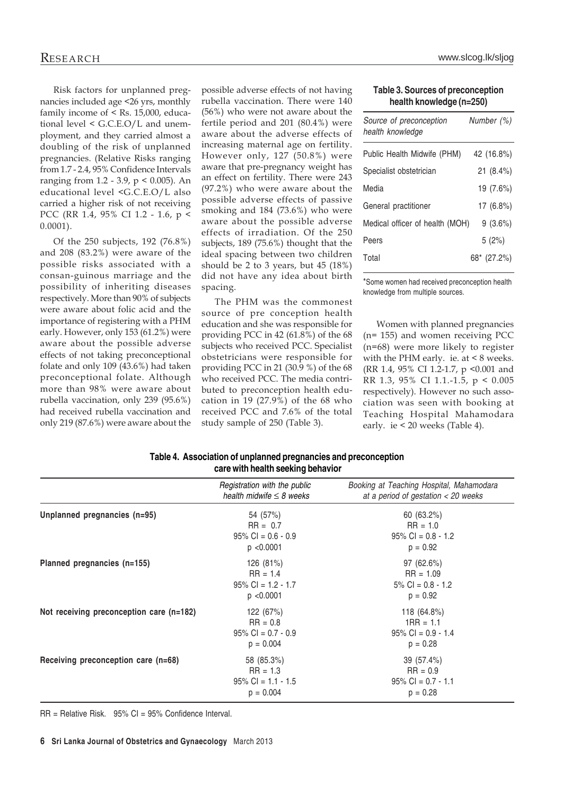Risk factors for unplanned pregnancies included age <26 yrs, monthly family income of < Rs. 15,000, educational level < G.C.E.O/L and unemployment, and they carried almost a doubling of the risk of unplanned pregnancies. (Relative Risks ranging from 1.7 - 2.4, 95% Confidence Intervals ranging from 1.2 - 3.9, p < 0.005). An educational level <G.C.E.O/L also carried a higher risk of not receiving PCC (RR 1.4, 95% CI 1.2 - 1.6, p < 0.0001).

Of the 250 subjects, 192 (76.8%) and 208 (83.2%) were aware of the possible risks associated with a consan-guinous marriage and the possibility of inheriting diseases respectively. More than 90% of subjects were aware about folic acid and the importance of registering with a PHM early. However, only 153 (61.2%) were aware about the possible adverse effects of not taking preconceptional folate and only 109 (43.6%) had taken preconceptional folate. Although more than 98% were aware about rubella vaccination, only 239 (95.6%) had received rubella vaccination and only 219 (87.6%) were aware about the

possible adverse effects of not having rubella vaccination. There were 140 (56%) who were not aware about the fertile period and 201 (80.4%) were aware about the adverse effects of increasing maternal age on fertility. However only, 127 (50.8%) were aware that pre-pregnancy weight has an effect on fertility. There were 243 (97.2%) who were aware about the possible adverse effects of passive smoking and 184 (73.6%) who were aware about the possible adverse effects of irradiation. Of the 250 subjects, 189 (75.6%) thought that the ideal spacing between two children should be 2 to 3 years, but 45 (18%) did not have any idea about birth spacing.

The PHM was the commonest source of pre conception health education and she was responsible for providing PCC in 42 (61.8%) of the 68 subjects who received PCC. Specialist obstetricians were responsible for providing PCC in 21 (30.9 %) of the 68 who received PCC. The media contributed to preconception health education in 19 (27.9%) of the 68 who received PCC and 7.6% of the total study sample of 250 (Table 3).

| Research | www.slcog.lk/sliog |
|----------|--------------------|
|          |                    |

#### **Table 3. Sources of preconception health knowledge (n=250)**

| Source of preconception<br>health knowledge | Number (%)  |
|---------------------------------------------|-------------|
| Public Health Midwife (PHM)                 | 42 (16.8%)  |
| Specialist obstetrician                     | 21 (8.4%)   |
| Media                                       | 19 (7.6%)   |
| General practitioner                        | $17(6.8\%)$ |
| Medical officer of health (MOH)             | $9(3.6\%)$  |
| Peers                                       | 5(2%)       |
| Total                                       | 68* (27.2%) |

\*Some women had received preconception health knowledge from multiple sources.

Women with planned pregnancies (n= 155) and women receiving PCC (n=68) were more likely to register with the PHM early. ie. at < 8 weeks. (RR 1.4, 95% CI 1.2-1.7, p <0.001 and RR 1.3, 95% CI 1.1.-1.5, p < 0.005 respectively). However no such association was seen with booking at Teaching Hospital Mahamodara early. ie < 20 weeks (Table 4).

| Table 4. Association of unplanned pregnancies and preconception |  |
|-----------------------------------------------------------------|--|
| care with health seeking behavior                               |  |

|                                            | Registration with the public<br>health midwife $\leq$ 8 weeks    | Booking at Teaching Hospital, Mahamodara<br>at a period of gestation $<$ 20 weeks |
|--------------------------------------------|------------------------------------------------------------------|-----------------------------------------------------------------------------------|
| Unplanned pregnancies (n=95)               | 54 (57%)<br>$RR = 0.7$<br>$95\%$ CI = 0.6 - 0.9<br>p < 0.0001    | 60(63.2%)<br>$RR = 1.0$<br>$95\%$ CI = 0.8 - 1.2<br>$p = 0.92$                    |
| Planned pregnancies (n=155)                | 126 (81%)<br>$RR = 1.4$<br>$95\%$ Cl = 1.2 - 1.7<br>p < 0.0001   | 97(62.6%)<br>$RR = 1.09$<br>$5\%$ CI = 0.8 - 1.2<br>$p = 0.92$                    |
| Not receiving preconception care $(n=182)$ | 122 (67%)<br>$RR = 0.8$<br>$95\%$ CI = 0.7 - 0.9<br>$p = 0.004$  | 118 (64.8%)<br>$1RR = 1.1$<br>$95\%$ CI = 0.9 - 1.4<br>$p = 0.28$                 |
| Receiving preconception care (n=68)        | 58 (85.3%)<br>$RR = 1.3$<br>$95\%$ CI = 1.1 - 1.5<br>$p = 0.004$ | 39 (57.4%)<br>$RR = 0.9$<br>$95\%$ CI = 0.7 - 1.1<br>$p = 0.28$                   |

RR = Relative Risk. 95% CI = 95% Confidence Interval.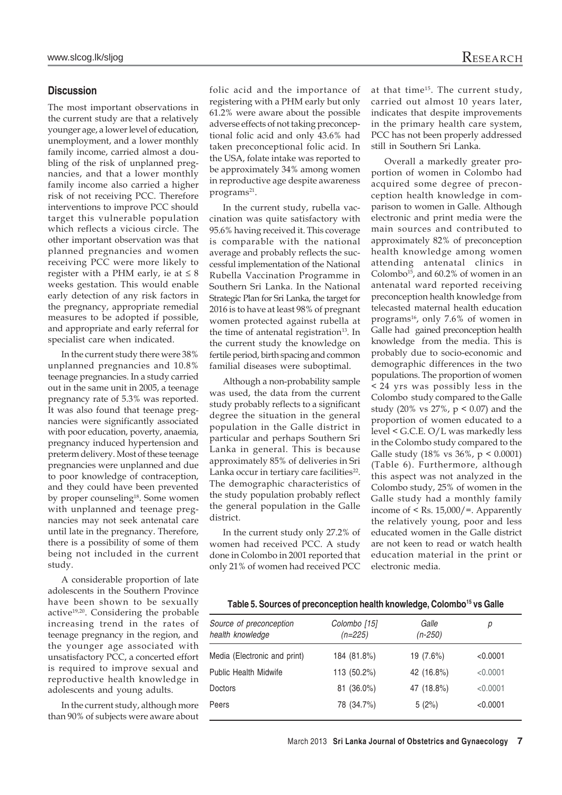## **Discussion**

The most important observations in the current study are that a relatively younger age, a lower level of education, unemployment, and a lower monthly family income, carried almost a doubling of the risk of unplanned pregnancies, and that a lower monthly family income also carried a higher risk of not receiving PCC. Therefore interventions to improve PCC should target this vulnerable population which reflects a vicious circle. The other important observation was that planned pregnancies and women receiving PCC were more likely to register with a PHM early, ie at  $\leq 8$ weeks gestation. This would enable early detection of any risk factors in the pregnancy, appropriate remedial measures to be adopted if possible, and appropriate and early referral for specialist care when indicated.

In the current study there were 38% unplanned pregnancies and 10.8% teenage pregnancies. In a study carried out in the same unit in 2005, a teenage pregnancy rate of 5.3% was reported. It was also found that teenage pregnancies were significantly associated with poor education, poverty, anaemia, pregnancy induced hypertension and preterm delivery. Most of these teenage pregnancies were unplanned and due to poor knowledge of contraception, and they could have been prevented by proper counseling<sup>18</sup>. Some women with unplanned and teenage pregnancies may not seek antenatal care until late in the pregnancy. Therefore, there is a possibility of some of them being not included in the current study.

A considerable proportion of late adolescents in the Southern Province have been shown to be sexually active<sup>19,20</sup>. Considering the probable increasing trend in the rates of teenage pregnancy in the region, and the younger age associated with unsatisfactory PCC, a concerted effort is required to improve sexual and reproductive health knowledge in adolescents and young adults.

In the current study, although more than 90% of subjects were aware about folic acid and the importance of registering with a PHM early but only 61.2% were aware about the possible adverse effects of not taking preconceptional folic acid and only 43.6% had taken preconceptional folic acid. In the USA, folate intake was reported to be approximately 34% among women in reproductive age despite awareness programs<sup>21</sup>.

In the current study, rubella vaccination was quite satisfactory with 95.6% having received it. This coverage is comparable with the national average and probably reflects the successful implementation of the National Rubella Vaccination Programme in Southern Sri Lanka. In the National Strategic Plan for Sri Lanka, the target for 2016 is to have at least 98% of pregnant women protected against rubella at the time of antenatal registration<sup>13</sup>. In the current study the knowledge on fertile period, birth spacing and common familial diseases were suboptimal.

Although a non-probability sample was used, the data from the current study probably reflects to a significant degree the situation in the general population in the Galle district in particular and perhaps Southern Sri Lanka in general. This is because approximately 85% of deliveries in Sri Lanka occur in tertiary care facilities<sup>22</sup>. The demographic characteristics of the study population probably reflect the general population in the Galle district.

In the current study only 27.2% of women had received PCC. A study done in Colombo in 2001 reported that only 21% of women had received PCC at that time15. The current study, carried out almost 10 years later, indicates that despite improvements in the primary health care system, PCC has not been properly addressed still in Southern Sri Lanka.

Overall a markedly greater proportion of women in Colombo had acquired some degree of preconception health knowledge in comparison to women in Galle. Although electronic and print media were the main sources and contributed to approximately 82% of preconception health knowledge among women attending antenatal clinics in Colombo<sup>15</sup>, and  $60.2\%$  of women in an antenatal ward reported receiving preconception health knowledge from telecasted maternal health education programs<sup>16</sup>, only 7.6% of women in Galle had gained preconception health knowledge from the media. This is probably due to socio-economic and demographic differences in the two populations. The proportion of women < 24 yrs was possibly less in the Colombo study compared to the Galle study (20% vs 27%, p < 0.07) and the proportion of women educated to a level < G.C.E. O/L was markedly less in the Colombo study compared to the Galle study (18% vs 36%, p < 0.0001) (Table 6). Furthermore, although this aspect was not analyzed in the Colombo study, 25% of women in the Galle study had a monthly family income of < Rs. 15,000/=. Apparently the relatively young, poor and less educated women in the Galle district are not keen to read or watch health education material in the print or electronic media.

#### Table 5. Sources of preconception health knowledge, Colombo<sup>15</sup> vs Galle

| Source of preconception<br>health knowledge | Colombo [15]<br>$(n=225)$ | Galle<br>$(n-250)$ | р        |
|---------------------------------------------|---------------------------|--------------------|----------|
| Media (Electronic and print)                | 184 (81.8%)               | 19 (7.6%)          | < 0.0001 |
| <b>Public Health Midwife</b>                | 113 (50.2%)               | 42 (16.8%)         | < 0.0001 |
| Doctors                                     | 81 (36.0%)                | 47 (18.8%)         | < 0.0001 |
| Peers                                       | 78 (34.7%)                | 5(2%)              | < 0.0001 |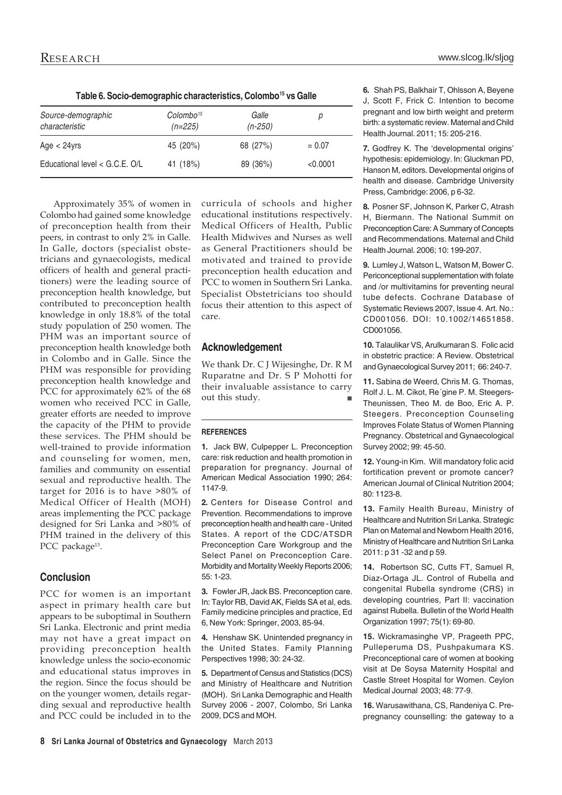| Table 6. Socio-demographic characteristics, Colombo <sup>15</sup> vs Galle |                                    |                    |          |
|----------------------------------------------------------------------------|------------------------------------|--------------------|----------|
| Source-demographic<br>characteristic                                       | Colombo <sup>15</sup><br>$(n=225)$ | Galle<br>$(n-250)$ | р        |
| Age $<$ 24yrs                                                              | 45 (20%)                           | 68 (27%)           | $= 0.07$ |
| Educational level $<$ G.C.E. O/L                                           | 41 (18%)                           | 89 (36%)           | < 0.0001 |

Approximately 35% of women in Colombo had gained some knowledge of preconception health from their peers, in contrast to only 2% in Galle. In Galle, doctors (specialist obstetricians and gynaecologists, medical officers of health and general practitioners) were the leading source of preconception health knowledge, but contributed to preconception health knowledge in only 18.8% of the total study population of 250 women. The PHM was an important source of preconception health knowledge both in Colombo and in Galle. Since the PHM was responsible for providing preconception health knowledge and PCC for approximately 62% of the 68 women who received PCC in Galle, greater efforts are needed to improve the capacity of the PHM to provide these services. The PHM should be well-trained to provide information and counseling for women, men, families and community on essential sexual and reproductive health. The target for 2016 is to have >80% of Medical Officer of Health (MOH) areas implementing the PCC package designed for Sri Lanka and >80% of PHM trained in the delivery of this PCC package<sup>13</sup>.

# **Conclusion**

PCC for women is an important aspect in primary health care but appears to be suboptimal in Southern Sri Lanka. Electronic and print media may not have a great impact on providing preconception health knowledge unless the socio-economic and educational status improves in the region. Since the focus should be on the younger women, details regarding sexual and reproductive health and PCC could be included in to the

curricula of schools and higher educational institutions respectively. Medical Officers of Health, Public Health Midwives and Nurses as well as General Practitioners should be motivated and trained to provide preconception health education and PCC to women in Southern Sri Lanka. Specialist Obstetricians too should focus their attention to this aspect of care.

# **Acknowledgement**

We thank Dr. C J Wijesinghe, Dr. R M Ruparatne and Dr. S P Mohotti for their invaluable assistance to carry<br>out this study. out this study.

#### **REFERENCES**

**1.** Jack BW, Culpepper L. Preconception care: risk reduction and health promotion in preparation for pregnancy. Journal of American Medical Association 1990; 264: 1147-9.

**2.** Centers for Disease Control and Prevention. Recommendations to improve preconception health and health care - United States. A report of the CDC/ATSDR Preconception Care Workgroup and the Select Panel on Preconception Care. Morbidity and Mortality Weekly Reports 2006; 55: 1-23.

**3.** Fowler JR, Jack BS. Preconception care. In: Taylor RB, David AK, Fields SA et al, eds. Family medicine principles and practice, Ed 6, New York: Springer, 2003, 85-94.

**4.** Henshaw SK. Unintended pregnancy in the United States. Family Planning Perspectives 1998; 30: 24-32.

**5.** Department of Census and Statistics (DCS) and Ministry of Healthcare and Nutrition (MOH). Sri Lanka Demographic and Health Survey 2006 - 2007, Colombo, Sri Lanka 2009, DCS and MOH.

**6.** Shah PS, Balkhair T, Ohlsson A, Beyene J, Scott F, Frick C. Intention to become pregnant and low birth weight and preterm birth: a systematic review. Maternal and Child Health Journal. 2011; 15: 205-216.

**7.** Godfrey K. The 'developmental origins' hypothesis: epidemiology. In: Gluckman PD, Hanson M, editors. Developmental origins of health and disease. Cambridge University Press, Cambridge: 2006, p 6-32.

**8.** Posner SF, Johnson K, Parker C, Atrash H, Biermann. The National Summit on Preconception Care: A Summary of Concepts and Recommendations. Maternal and Child Health Journal. 2006; 10: 199-207.

**9.** Lumley J, Watson L, Watson M, Bower C. Periconceptional supplementation with folate and /or multivitamins for preventing neural tube defects. Cochrane Database of Systematic Reviews 2007, Issue 4. Art. No.: CD001056. DOI: 10.1002/14651858. CD001056

**10.** Talaulikar VS, Arulkumaran S. Folic acid in obstetric practice: A Review. Obstetrical and Gynaecological Survey 2011; 66: 240-7.

**11.** Sabina de Weerd, Chris M. G. Thomas, Rolf J. L. M. Cikot, Re´gine P. M. Steegers-Theunissen, Theo M. de Boo, Eric A. P. Steegers. Preconception Counseling Improves Folate Status of Women Planning Pregnancy. Obstetrical and Gynaecological Survey 2002; 99: 45-50.

**12.** Young-in Kim. Will mandatory folic acid fortification prevent or promote cancer? American Journal of Clinical Nutrition 2004; 80: 1123-8.

**13.** Family Health Bureau, Ministry of Healthcare and Nutrition Sri Lanka. Strategic Plan on Maternal and Newborn Health 2016, Ministry of Healthcare and Nutrition Sri Lanka 2011: p 31 -32 and p 59.

**14.** Robertson SC, Cutts FT, Samuel R, Diaz-Ortaga JL. Control of Rubella and congenital Rubella syndrome (CRS) in developing countries, Part II: vaccination against Rubella. Bulletin of the World Health Organization 1997; 75(1): 69-80.

**15.** Wickramasinghe VP, Prageeth PPC, Pulleperuma DS, Pushpakumara KS. Preconceptional care of women at booking visit at De Soysa Maternity Hospital and Castle Street Hospital for Women. Ceylon Medical Journal 2003; 48: 77-9.

**16.** Warusawithana, CS, Randeniya C. Prepregnancy counselling: the gateway to a